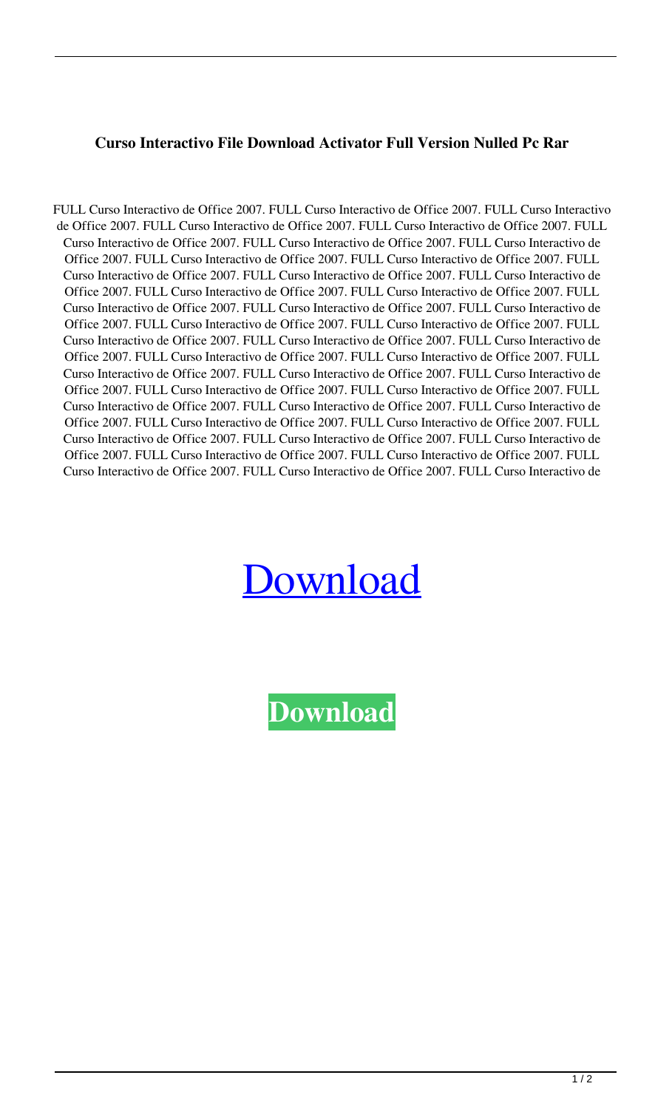## **Curso Interactivo File Download Activator Full Version Nulled Pc Rar**

FULL Curso Interactivo de Office 2007. FULL Curso Interactivo de Office 2007. FULL Curso Interactivo de Office 2007. FULL Curso Interactivo de Office 2007. FULL Curso Interactivo de Office 2007. FULL Curso Interactivo de Office 2007. FULL Curso Interactivo de Office 2007. FULL Curso Interactivo de Office 2007. FULL Curso Interactivo de Office 2007. FULL Curso Interactivo de Office 2007. FULL Curso Interactivo de Office 2007. FULL Curso Interactivo de Office 2007. FULL Curso Interactivo de Office 2007. FULL Curso Interactivo de Office 2007. FULL Curso Interactivo de Office 2007. FULL Curso Interactivo de Office 2007. FULL Curso Interactivo de Office 2007. FULL Curso Interactivo de Office 2007. FULL Curso Interactivo de Office 2007. FULL Curso Interactivo de Office 2007. FULL Curso Interactivo de Office 2007. FULL Curso Interactivo de Office 2007. FULL Curso Interactivo de Office 2007. FULL Curso Interactivo de Office 2007. FULL Curso Interactivo de Office 2007. FULL Curso Interactivo de Office 2007. FULL Curso Interactivo de Office 2007. FULL Curso Interactivo de Office 2007. FULL Curso Interactivo de Office 2007. FULL Curso Interactivo de Office 2007. FULL Curso Interactivo de Office 2007. FULL Curso Interactivo de Office 2007. FULL Curso Interactivo de Office 2007. FULL Curso Interactivo de Office 2007. FULL Curso Interactivo de Office 2007. FULL Curso Interactivo de Office 2007. FULL Curso Interactivo de Office 2007. FULL Curso Interactivo de Office 2007. FULL Curso Interactivo de Office 2007. FULL Curso Interactivo de Office 2007. FULL Curso Interactivo de Office 2007. FULL Curso Interactivo de Office 2007. FULL Curso Interactivo de

## [Download](http://evacdir.com/discounters/attuned.cask.resilience.ZG93bmxvYWR8TWQ5TVhsbmFIeDhNVFkxTWpjME1EZzJObng4TWpVM05IeDhLRTBwSUhKbFlXUXRZbXh2WnlCYlJtRnpkQ0JIUlU1ZA.RlVMTCBDdXJzbyBJbnRlcmFjdGl2byBkZSBPZmZpY2UgMjAwNwRlV/)

**[Download](http://evacdir.com/discounters/attuned.cask.resilience.ZG93bmxvYWR8TWQ5TVhsbmFIeDhNVFkxTWpjME1EZzJObng4TWpVM05IeDhLRTBwSUhKbFlXUXRZbXh2WnlCYlJtRnpkQ0JIUlU1ZA.RlVMTCBDdXJzbyBJbnRlcmFjdGl2byBkZSBPZmZpY2UgMjAwNwRlV/)**